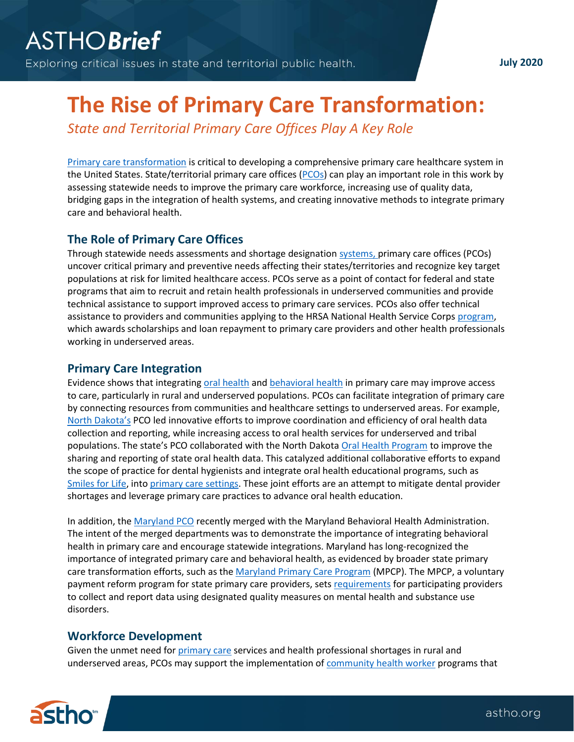# **The Rise of Primary Care Transformation:**

*State and Territorial Primary Care Offices Play A Key Role*

[Primary care transformation](https://www.ahrq.gov/ncepcr/research-transform-primary-care/transform/index.html) is critical to developing a comprehensive primary care healthcare system in the United States. State/territorial primary care offices [\(PCOs\)](https://www.astho.org/uploadedFiles/ASTHO%20Primary%20Care%20Office%20Manual-Final%20Web.pdf) can play an important role in this work by assessing statewide needs to improve the primary care workforce, increasing use of quality data, bridging gaps in the integration of health systems, and creating innovative methods to integrate primary care and behavioral health.

## **The Role of Primary Care Offices**

Through statewide needs assessments and shortage designation [systems,](https://bhw.hrsa.gov/shortage-designation/what-is-shortage-designation) primary care offices (PCOs) uncover critical primary and preventive needs affecting their states/territories and recognize key target populations at risk for limited healthcare access. PCOs serve as a point of contact for federal and state programs that aim to recruit and retain health professionals in underserved communities and provide technical assistance to support improved access to primary care services. PCOs also offer technical assistance to providers and communities applying to the HRSA National Health Service Corps [program,](https://bhw.hrsa.gov/loans-scholarships/nhsc) which awards scholarships and loan repayment to primary care providers and other health professionals working in underserved areas.

## **Primary Care Integration**

Evidence shows that integrating [oral health](https://www.hrsa.gov/sites/default/files/oralhealth/integrationoforalhealth.pdf) an[d behavioral health](https://www.integration.samhsa.gov/integrated-care-models/behavioral-health-in-primary-care) in primary care may improve access to care, particularly in rural and underserved populations. PCOs can facilitate integration of primary care by connecting resources from communities and healthcare settings to underserved areas. For example, [North Dakota](https://ruralhealth.und.edu/projects/primary-care-office)'s PCO led innovative efforts to improve coordination and efficiency of oral health data collection and reporting, while increasing access to oral health services for underserved and tribal populations. The state's PCO collaborated with the North Dakota [Oral Health Program](https://oral.health.nd.gov/) to improve the sharing and reporting of state oral health data. This catalyzed additional collaborative efforts to expand the scope of practice for dental hygienists and integrate oral health educational programs, such as [Smiles for Life,](https://www.smilesforlifeoralhealth.org/buildcontent.aspx?tut=555&pagekey=62948&cbreceipt=0) into [primary care settings.](https://www.ncbi.nlm.nih.gov/pmc/articles/PMC6618181/) These joint efforts are an attempt to mitigate dental provider shortages and leverage primary care practices to advance oral health education.

In addition, the [Maryland PCO](https://pophealth.health.maryland.gov/Pages/Primary-Care.aspx) recently merged with the Maryland Behavioral Health Administration. The intent of the merged departments was to demonstrate the importance of integrating behavioral health in primary care and encourage statewide integrations. Maryland has long-recognized the importance of integrated primary care and behavioral health, as evidenced by broader state primary care transformation efforts, such as th[e Maryland Primary Care Program](https://health.maryland.gov/mdpcp/Pages/home.aspx#:~:text=A%20key%20element%20of%20the,primary%20care%20throughout%20the%20state.) (MPCP). The MPCP, a voluntary payment reform program for state primary care providers, sets [requirements](https://health.maryland.gov/mdpcp/Documents/2.MDPCP%20BHI%20-%20Building%20the%20team.pdf) for participating providers to collect and report data using designated quality measures on mental health and substance use disorders.

## **Workforce Development**

Given the unmet need for [primary care](https://www.ncsl.org/documents/health/PCWorkforceTK13.pdf) services and health professional shortages in rural and underserved areas, PCOs may support the implementation o[f community health worker](https://www.astho.org/Programs/Clinical-to-Community-Connections/Documents/Developing-and-Defining-the-CHW-Workforce_Slide-deck/) programs that